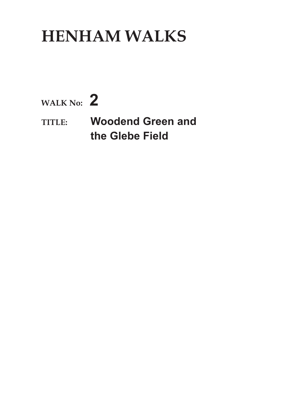## **HENHAM WALKS**

**WALK No: 2**

**TITLE: Woodend Green and the Glebe Field**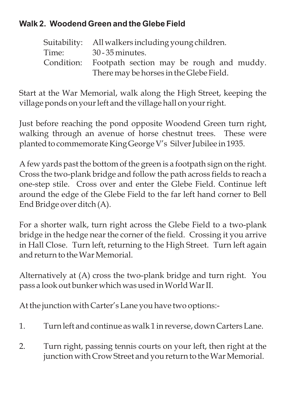## **Walk 2. Woodend Green and the Glebe Field**

Suitability: All walkers including young children. Time: 30 - 35 minutes. Condition: Footpath section may be rough and muddy. There may be horses in the Glebe Field.

Start at the War Memorial, walk along the High Street, keeping the village ponds on your left and the village hall on your right.

Just before reaching the pond opposite Woodend Green turn right, walking through an avenue of horse chestnut trees. These were planted to commemorate King George V's Silver Jubilee in 1935.

A few yards past the bottom of the green is a footpath sign on the right. Cross the two-plank bridge and follow the path across fields to reach a one-step stile. Cross over and enter the Glebe Field. Continue left around the edge of the Glebe Field to the far left hand corner to Bell End Bridge over ditch (A).

For a shorter walk, turn right across the Glebe Field to a two-plank bridge in the hedge near the corner of the field. Crossing it you arrive in Hall Close. Turn left, returning to the High Street. Turn left again and return to the War Memorial.

Alternatively at (A) cross the two-plank bridge and turn right. You pass a look out bunker which was used inWorldWar II.

At the junction with Carter's Lane you have two options:-

- 1. Turn left and continue as walk 1 in reverse, down Carters Lane.
- 2. Turn right, passing tennis courts on your left, then right at the junction with Crow Street and you return to the War Memorial.